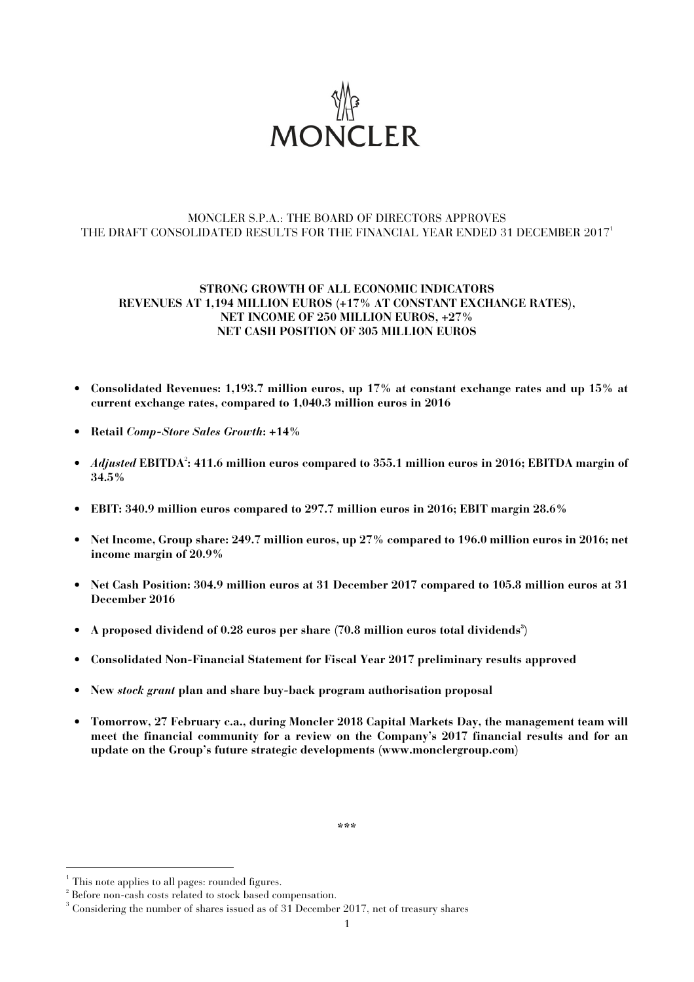

## MONCLER S.P.A.: THE BOARD OF DIRECTORS APPROVES THE DRAFT CONSOLIDATED RESULTS FOR THE FINANCIAL YEAR ENDED 31 DECEMBER 2017<sup>1</sup>

## **STRONG GROWTH OF ALL ECONOMIC INDICATORS REVENUES AT 1,194 MILLION EUROS (+17% AT CONSTANT EXCHANGE RATES), NET INCOME OF 250 MILLION EUROS, +27% NET CASH POSITION OF 305 MILLION EUROS**

- **Consolidated Revenues: 1,193.7 million euros, up 17% at constant exchange rates and up 15% at current exchange rates, compared to 1,040.3 million euros in 2016**
- **Retail** *Comp-Store Sales Growth***: +14%**
- *Adjusted* **EBITDA**<sup>2</sup> **: 411.6 million euros compared to 355.1 million euros in 2016; EBITDA margin of 34.5%**
- **EBIT: 340.9 million euros compared to 297.7 million euros in 2016; EBIT margin 28.6%**
- **Net Income, Group share: 249.7 million euros, up 27% compared to 196.0 million euros in 2016; net income margin of 20.9%**
- **Net Cash Position: 304.9 million euros at 31 December 2017 compared to 105.8 million euros at 31 December 2016**
- **A proposed dividend of 0.28 euros per share (70.8 million euros total dividends<sup>3</sup> )**
- **Consolidated Non-Financial Statement for Fiscal Year 2017 preliminary results approved**
- **New** *stock grant* **plan and share buy-back program authorisation proposal**
- **Tomorrow, 27 February c.a., during Moncler 2018 Capital Markets Day, the management team will meet the financial community for a review on the Company's 2017 financial results and for an update on the Group's future strategic developments (www.monclergroup.com)**

**\*\*\*** 

 1 This note applies to all pages: rounded figures.

<sup>&</sup>lt;sup>2</sup> Before non-cash costs related to stock based compensation.

 $3$  Considering the number of shares issued as of 31 December 2017, net of treasury shares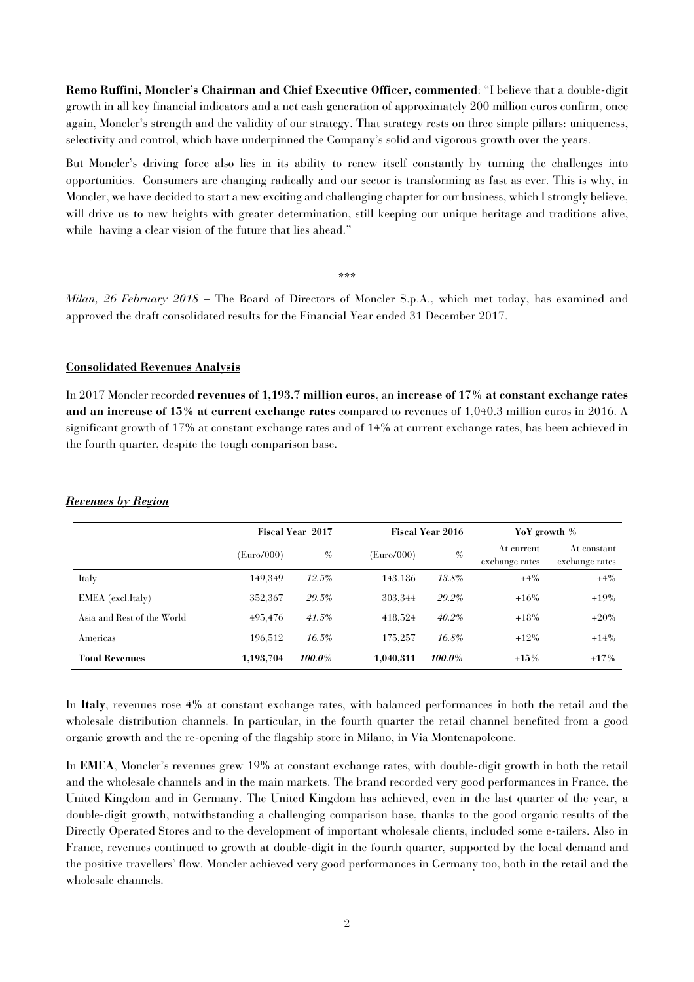**Remo Ruffini, Moncler's Chairman and Chief Executive Officer, commented**: "I believe that a double-digit growth in all key financial indicators and a net cash generation of approximately 200 million euros confirm, once again, Moncler's strength and the validity of our strategy. That strategy rests on three simple pillars: uniqueness, selectivity and control, which have underpinned the Company's solid and vigorous growth over the years.

But Moncler's driving force also lies in its ability to renew itself constantly by turning the challenges into opportunities. Consumers are changing radically and our sector is transforming as fast as ever. This is why, in Moncler, we have decided to start a new exciting and challenging chapter for our business, which I strongly believe, will drive us to new heights with greater determination, still keeping our unique heritage and traditions alive, while having a clear vision of the future that lies ahead."

\*\*\*

*Milan, 26 February 2018* – The Board of Directors of Moncler S.p.A., which met today, has examined and approved the draft consolidated results for the Financial Year ended 31 December 2017.

#### **Consolidated Revenues Analysis**

In 2017 Moncler recorded **revenues of 1,193.7 million euros**, an **increase of 17% at constant exchange rates and an increase of 15% at current exchange rates** compared to revenues of 1,040.3 million euros in 2016. A significant growth of 17% at constant exchange rates and of 14% at current exchange rates, has been achieved in the fourth quarter, despite the tough comparison base.

|                            | <b>Fiscal Year 2017</b> |          |            | <b>Fiscal Year 2016</b> | YoY growth %                 |                               |
|----------------------------|-------------------------|----------|------------|-------------------------|------------------------------|-------------------------------|
|                            | (Euro/000)              | $\%$     | (Euro/000) | $\%$                    | At current<br>exchange rates | At constant<br>exchange rates |
| Italy                      | 149.349                 | 12.5%    | 143.186    | 13.8%                   | $+4\%$                       | $+4\%$                        |
| EMEA (excl.Italy)          | 352,367                 | 29.5%    | 303.344    | 29.2%                   | $+16%$                       | $+19%$                        |
| Asia and Rest of the World | 495.476                 | 41.5%    | 418.524    | 40.2%                   | $+18%$                       | $+20%$                        |
| Americas                   | 196.512                 | $16.5\%$ | 175.257    | 16.8%                   | $+12\%$                      | $+14%$                        |
| <b>Total Revenues</b>      | 1,193,704               | 100.0%   | 1.040.311  | 100.0%                  | $+15%$                       | $+17%$                        |

#### *Revenues by Region*

In **Italy**, revenues rose 4% at constant exchange rates, with balanced performances in both the retail and the wholesale distribution channels. In particular, in the fourth quarter the retail channel benefited from a good organic growth and the re-opening of the flagship store in Milano, in Via Montenapoleone.

In **EMEA**, Moncler's revenues grew 19% at constant exchange rates, with double-digit growth in both the retail and the wholesale channels and in the main markets. The brand recorded very good performances in France, the United Kingdom and in Germany. The United Kingdom has achieved, even in the last quarter of the year, a double-digit growth, notwithstanding a challenging comparison base, thanks to the good organic results of the Directly Operated Stores and to the development of important wholesale clients, included some e-tailers. Also in France, revenues continued to growth at double-digit in the fourth quarter, supported by the local demand and the positive travellers' flow. Moncler achieved very good performances in Germany too, both in the retail and the wholesale channels.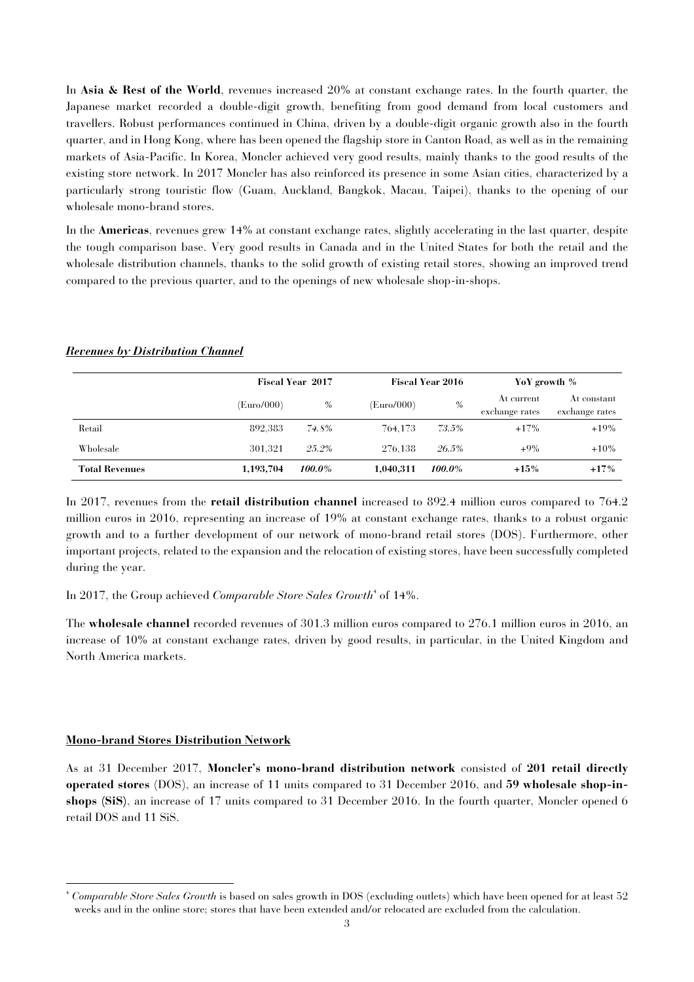In **Asia & Rest of the World**, revenues increased 20% at constant exchange rates. In the fourth quarter, the Japanese market recorded a double-digit growth, benefiting from good demand from local customers and travellers. Robust performances continued in China, driven by a double-digit organic growth also in the fourth quarter, and in Hong Kong, where has been opened the flagship store in Canton Road, as well as in the remaining markets of Asia-Pacific. In Korea, Moncler achieved very good results, mainly thanks to the good results of the existing store network. In 2017 Moncler has also reinforced its presence in some Asian cities, characterized by a particularly strong touristic flow (Guam, Auckland, Bangkok, Macau, Taipei), thanks to the opening of our wholesale mono-brand stores.

In the **Americas**, revenues grew 14% at constant exchange rates, slightly accelerating in the last quarter, despite the tough comparison base. Very good results in Canada and in the United States for both the retail and the wholesale distribution channels, thanks to the solid growth of existing retail stores, showing an improved trend compared to the previous quarter, and to the openings of new wholesale shop-in-shops.

|                       |            | Fiscal Year 2017 |            | <b>Fiscal Year 2016</b> |                              | YoY growth %                  |  |
|-----------------------|------------|------------------|------------|-------------------------|------------------------------|-------------------------------|--|
|                       | (Euro/000) | %                | (Euro/000) | $\%$                    | At current<br>exchange rates | At constant<br>exchange rates |  |
| Retail                | 892.383    | 74.8%            | 764.173    | 73.5%                   | $+17%$                       | $+19%$                        |  |
| Wholesale             | 301.321    | $25.2\%$         | 276.138    | 26.5%                   | $+9\%$                       | $+10%$                        |  |
| <b>Total Revenues</b> | 1,193,704  | 100.0%           | 1,040,311  | 100.0%                  | $+15%$                       | $+17%$                        |  |

#### *Revenues by Distribution Channel*

In 2017, revenues from the **retail distribution channel** increased to 892.4 million euros compared to 764.2 million euros in 2016, representing an increase of 19% at constant exchange rates, thanks to a robust organic growth and to a further development of our network of mono-brand retail stores (DOS). Furthermore, other important projects, related to the expansion and the relocation of existing stores, have been successfully completed during the year.

In 2017, the Group achieved *Comparable Store Sales Growth*<sup>4</sup> of 14%.

The **wholesale channel** recorded revenues of 301.3 million euros compared to 276.1 million euros in 2016, an increase of 10% at constant exchange rates, driven by good results, in particular, in the United Kingdom and North America markets.

#### **Mono-brand Stores Distribution Network**

As at 31 December 2017, **Moncler's mono-brand distribution network** consisted of **201 retail directly operated stores** (DOS), an increase of 11 units compared to 31 December 2016, and **59 wholesale shop-inshops (SiS)**, an increase of 17 units compared to 31 December 2016. In the fourth quarter, Moncler opened 6 retail DOS and 11 SiS.

 4 *Comparable Store Sales Growth* is based on sales growth in DOS (excluding outlets) which have been opened for at least 52 weeks and in the online store; stores that have been extended and/or relocated are excluded from the calculation.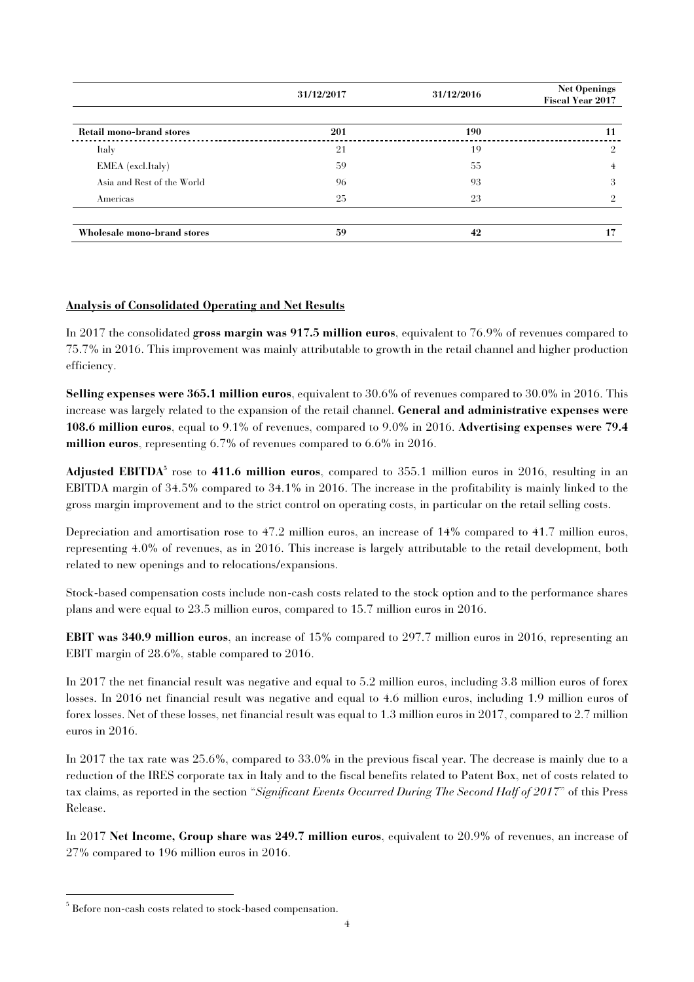|                                 | 31/12/2017 | 31/12/2016 | <b>Net Openings</b><br><b>Fiscal Year 2017</b> |
|---------------------------------|------------|------------|------------------------------------------------|
| <b>Retail mono-brand stores</b> | 201        | <b>190</b> | 11                                             |
| Italy                           | 21         | 19         | $\overline{2}$                                 |
| EMEA (excl.Italy)               | 59         | 55         | 4                                              |
| Asia and Rest of the World      | 96         | 93         | 3                                              |
| Americas                        | 25         | 23         | $\Omega$                                       |
| Wholesale mono-brand stores     | 59         | 42         | 17                                             |

## **Analysis of Consolidated Operating and Net Results**

In 2017 the consolidated **gross margin was 917.5 million euros**, equivalent to 76.9% of revenues compared to 75.7% in 2016. This improvement was mainly attributable to growth in the retail channel and higher production efficiency.

**Selling expenses were 365.1 million euros**, equivalent to 30.6% of revenues compared to 30.0% in 2016. This increase was largely related to the expansion of the retail channel. **General and administrative expenses were 108.6 million euros**, equal to 9.1% of revenues, compared to 9.0% in 2016. **Advertising expenses were 79.4 million euros**, representing 6.7% of revenues compared to 6.6% in 2016.

**Adjusted EBITDA<sup>5</sup>** rose to **411.6 million euros**, compared to 355.1 million euros in 2016, resulting in an EBITDA margin of 34.5% compared to 34.1% in 2016. The increase in the profitability is mainly linked to the gross margin improvement and to the strict control on operating costs, in particular on the retail selling costs.

Depreciation and amortisation rose to 47.2 million euros, an increase of 14% compared to 41.7 million euros, representing 4.0% of revenues, as in 2016. This increase is largely attributable to the retail development, both related to new openings and to relocations/expansions.

Stock-based compensation costs include non-cash costs related to the stock option and to the performance shares plans and were equal to 23.5 million euros, compared to 15.7 million euros in 2016.

**EBIT was 340.9 million euros**, an increase of 15% compared to 297.7 million euros in 2016, representing an EBIT margin of 28.6%, stable compared to 2016.

In 2017 the net financial result was negative and equal to 5.2 million euros, including 3.8 million euros of forex losses. In 2016 net financial result was negative and equal to 4.6 million euros, including 1.9 million euros of forex losses. Net of these losses, net financial result was equal to 1.3 million euros in 2017, compared to 2.7 million euros in 2016.

In 2017 the tax rate was 25.6%, compared to 33.0% in the previous fiscal year. The decrease is mainly due to a reduction of the IRES corporate tax in Italy and to the fiscal benefits related to Patent Box, net of costs related to tax claims, as reported in the section "*Significant Events Occurred During The Second Half of 2017*" of this Press Release.

In 2017 **Net Income, Group share was 249.7 million euros**, equivalent to 20.9% of revenues, an increase of 27% compared to 196 million euros in 2016.

j

<sup>5</sup> Before non-cash costs related to stock-based compensation.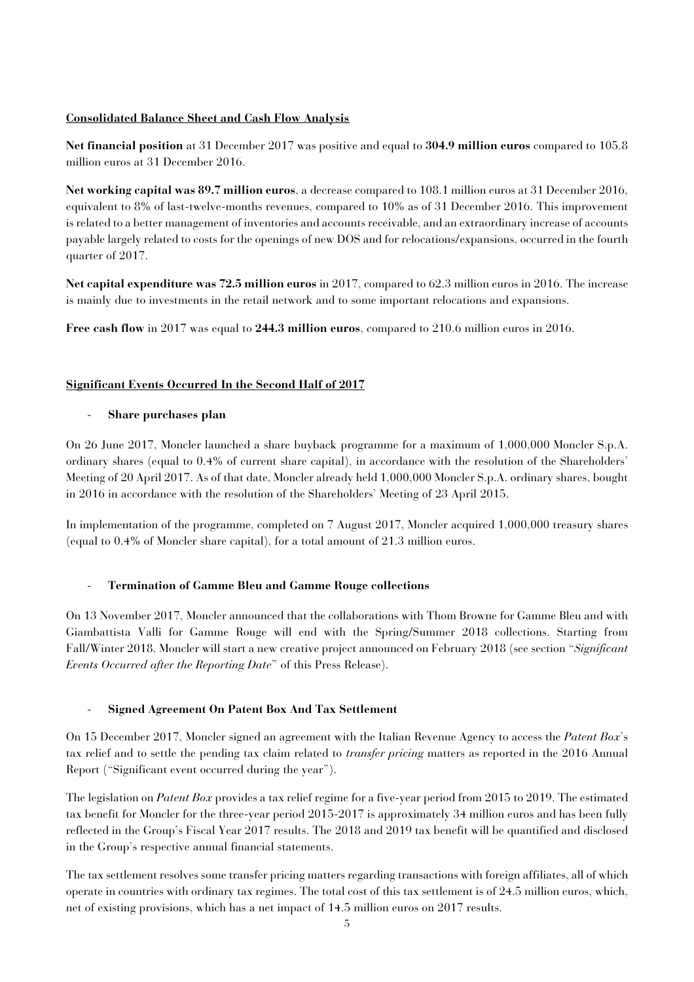## **Consolidated Balance Sheet and Cash Flow Analysis**

**Net financial position** at 31 December 2017 was positive and equal to **304.9 million euros** compared to 105.8 million euros at 31 December 2016.

**Net working capital was 89.7 million euros**, a decrease compared to 108.1 million euros at 31 December 2016, equivalent to 8% of last-twelve-months revenues, compared to 10% as of 31 December 2016. This improvement is related to a better management of inventories and accounts receivable, and an extraordinary increase of accounts payable largely related to costs for the openings of new DOS and for relocations/expansions, occurred in the fourth quarter of 2017.

**Net capital expenditure was 72.5 million euros** in 2017, compared to 62.3 million euros in 2016. The increase is mainly due to investments in the retail network and to some important relocations and expansions.

**Free cash flow** in 2017 was equal to **244.3 million euros**, compared to 210.6 million euros in 2016.

## **Significant Events Occurred In the Second Half of 2017**

## - **Share purchases plan**

On 26 June 2017, Moncler launched a share buyback programme for a maximum of 1,000,000 Moncler S.p.A. ordinary shares (equal to 0.4% of current share capital), in accordance with the resolution of the Shareholders' Meeting of 20 April 2017. As of that date, Moncler already held 1,000,000 Moncler S.p.A. ordinary shares, bought in 2016 in accordance with the resolution of the Shareholders' Meeting of 23 April 2015.

In implementation of the programme, completed on 7 August 2017, Moncler acquired 1,000,000 treasury shares (equal to 0.4% of Moncler share capital), for a total amount of 21.3 million euros.

## - **Termination of Gamme Bleu and Gamme Rouge collections**

On 13 November 2017, Moncler announced that the collaborations with Thom Browne for Gamme Bleu and with Giambattista Valli for Gamme Rouge will end with the Spring/Summer 2018 collections. Starting from Fall/Winter 2018, Moncler will start a new creative project announced on February 2018 (see section "*Significant Events Occurred after the Reporting Date*" of this Press Release).

## - **Signed Agreement On Patent Box And Tax Settlement**

On 15 December 2017, Moncler signed an agreement with the Italian Revenue Agency to access the *Patent Box*'s tax relief and to settle the pending tax claim related to *transfer pricing* matters as reported in the 2016 Annual Report ("Significant event occurred during the year").

The legislation on *Patent Box* provides a tax relief regime for a five-year period from 2015 to 2019. The estimated tax benefit for Moncler for the three-year period 2015-2017 is approximately 34 million euros and has been fully reflected in the Group's Fiscal Year 2017 results. The 2018 and 2019 tax benefit will be quantified and disclosed in the Group's respective annual financial statements.

The tax settlement resolves some transfer pricing matters regarding transactions with foreign affiliates, all of which operate in countries with ordinary tax regimes. The total cost of this tax settlement is of 24.5 million euros, which, net of existing provisions, which has a net impact of 14.5 million euros on 2017 results.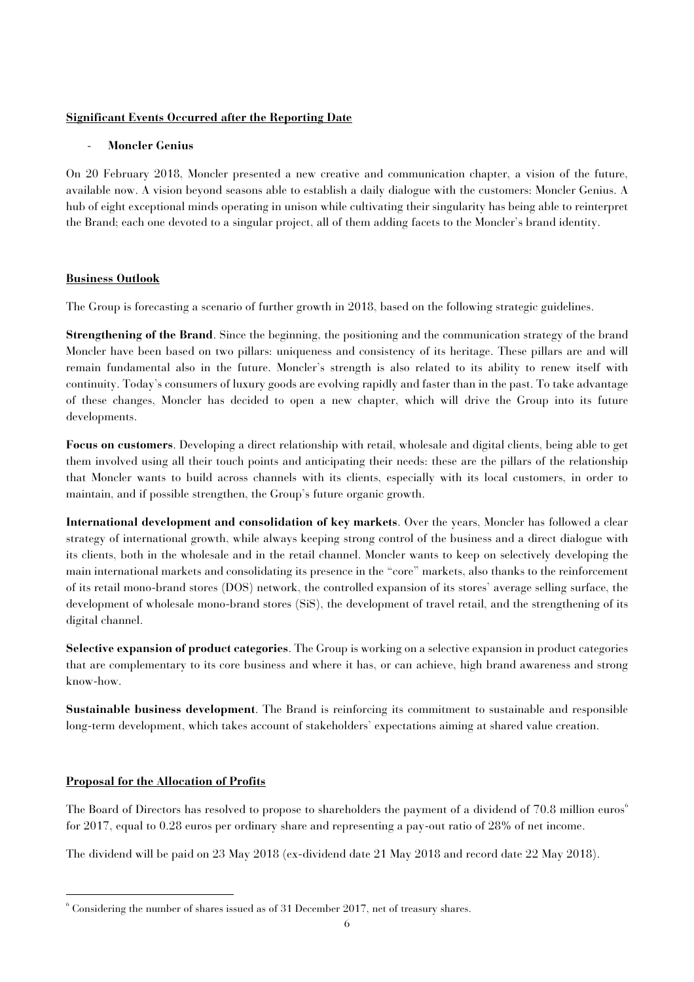#### **Significant Events Occurred after the Reporting Date**

#### - **Moncler Genius**

On 20 February 2018, Moncler presented a new creative and communication chapter, a vision of the future, available now. A vision beyond seasons able to establish a daily dialogue with the customers: Moncler Genius. A hub of eight exceptional minds operating in unison while cultivating their singularity has being able to reinterpret the Brand; each one devoted to a singular project, all of them adding facets to the Moncler's brand identity.

## **Business Outlook**

The Group is forecasting a scenario of further growth in 2018, based on the following strategic guidelines.

**Strengthening of the Brand**. Since the beginning, the positioning and the communication strategy of the brand Moncler have been based on two pillars: uniqueness and consistency of its heritage. These pillars are and will remain fundamental also in the future. Moncler's strength is also related to its ability to renew itself with continuity. Today's consumers of luxury goods are evolving rapidly and faster than in the past. To take advantage of these changes, Moncler has decided to open a new chapter, which will drive the Group into its future developments.

**Focus on customers**. Developing a direct relationship with retail, wholesale and digital clients, being able to get them involved using all their touch points and anticipating their needs: these are the pillars of the relationship that Moncler wants to build across channels with its clients, especially with its local customers, in order to maintain, and if possible strengthen, the Group's future organic growth.

**International development and consolidation of key markets**. Over the years, Moncler has followed a clear strategy of international growth, while always keeping strong control of the business and a direct dialogue with its clients, both in the wholesale and in the retail channel. Moncler wants to keep on selectively developing the main international markets and consolidating its presence in the "core" markets, also thanks to the reinforcement of its retail mono-brand stores (DOS) network, the controlled expansion of its stores' average selling surface, the development of wholesale mono-brand stores (SiS), the development of travel retail, and the strengthening of its digital channel.

**Selective expansion of product categories**. The Group is working on a selective expansion in product categories that are complementary to its core business and where it has, or can achieve, high brand awareness and strong know-how.

**Sustainable business development**. The Brand is reinforcing its commitment to sustainable and responsible long-term development, which takes account of stakeholders' expectations aiming at shared value creation.

## **Proposal for the Allocation of Profits**

j

The Board of Directors has resolved to propose to shareholders the payment of a dividend of 70.8 million euros 6 for 2017, equal to 0.28 euros per ordinary share and representing a pay-out ratio of 28% of net income.

The dividend will be paid on 23 May 2018 (ex-dividend date 21 May 2018 and record date 22 May 2018).

<sup>6</sup> Considering the number of shares issued as of 31 December 2017, net of treasury shares.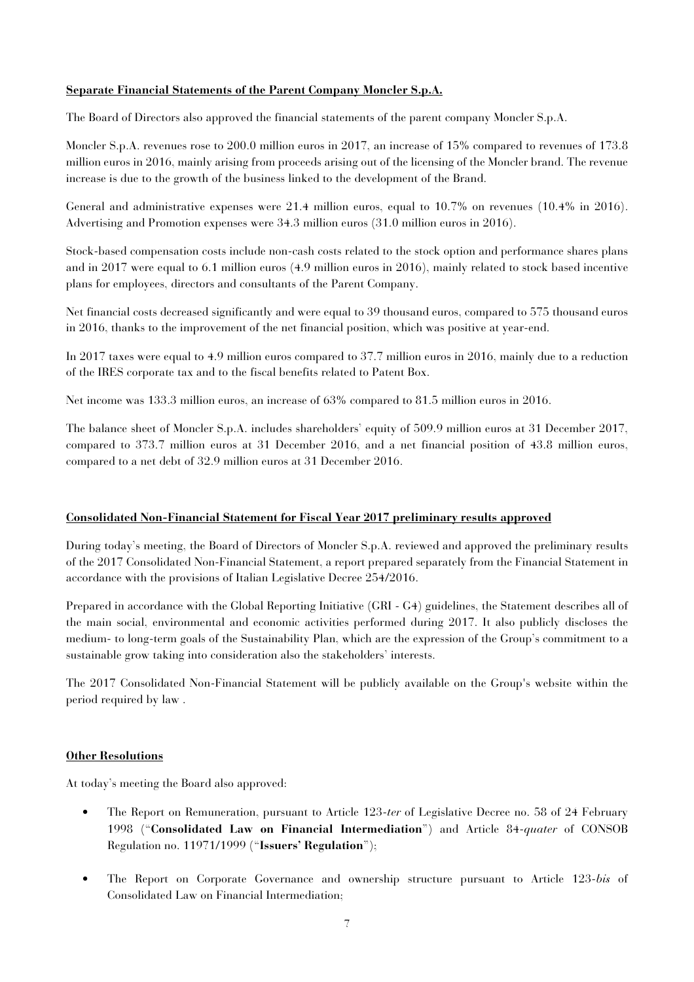#### **Separate Financial Statements of the Parent Company Moncler S.p.A.**

The Board of Directors also approved the financial statements of the parent company Moncler S.p.A.

Moncler S.p.A. revenues rose to 200.0 million euros in 2017, an increase of 15% compared to revenues of 173.8 million euros in 2016, mainly arising from proceeds arising out of the licensing of the Moncler brand. The revenue increase is due to the growth of the business linked to the development of the Brand.

General and administrative expenses were 21.4 million euros, equal to 10.7% on revenues (10.4% in 2016). Advertising and Promotion expenses were 34.3 million euros (31.0 million euros in 2016).

Stock-based compensation costs include non-cash costs related to the stock option and performance shares plans and in 2017 were equal to 6.1 million euros (4.9 million euros in 2016), mainly related to stock based incentive plans for employees, directors and consultants of the Parent Company.

Net financial costs decreased significantly and were equal to 39 thousand euros, compared to 575 thousand euros in 2016, thanks to the improvement of the net financial position, which was positive at year-end.

In 2017 taxes were equal to 4.9 million euros compared to 37.7 million euros in 2016, mainly due to a reduction of the IRES corporate tax and to the fiscal benefits related to Patent Box.

Net income was 133.3 million euros, an increase of 63% compared to 81.5 million euros in 2016.

The balance sheet of Moncler S.p.A. includes shareholders' equity of 509.9 million euros at 31 December 2017, compared to 373.7 million euros at 31 December 2016, and a net financial position of 43.8 million euros, compared to a net debt of 32.9 million euros at 31 December 2016.

## **Consolidated Non-Financial Statement for Fiscal Year 2017 preliminary results approved**

During today's meeting, the Board of Directors of Moncler S.p.A. reviewed and approved the preliminary results of the 2017 Consolidated Non-Financial Statement, a report prepared separately from the Financial Statement in accordance with the provisions of Italian Legislative Decree 254/2016.

Prepared in accordance with the Global Reporting Initiative (GRI - G4) guidelines, the Statement describes all of the main social, environmental and economic activities performed during 2017. It also publicly discloses the medium- to long-term goals of the Sustainability Plan, which are the expression of the Group's commitment to a sustainable grow taking into consideration also the stakeholders' interests.

The 2017 Consolidated Non-Financial Statement will be publicly available on the Group's website within the period required by law .

## **Other Resolutions**

At today's meeting the Board also approved:

- The Report on Remuneration, pursuant to Article 123-*ter* of Legislative Decree no. 58 of 24 February 1998 ("**Consolidated Law on Financial Intermediation**") and Article 84-*quater* of CONSOB Regulation no. 11971/1999 ("**Issuers' Regulation**");
- The Report on Corporate Governance and ownership structure pursuant to Article 123-*bis* of Consolidated Law on Financial Intermediation;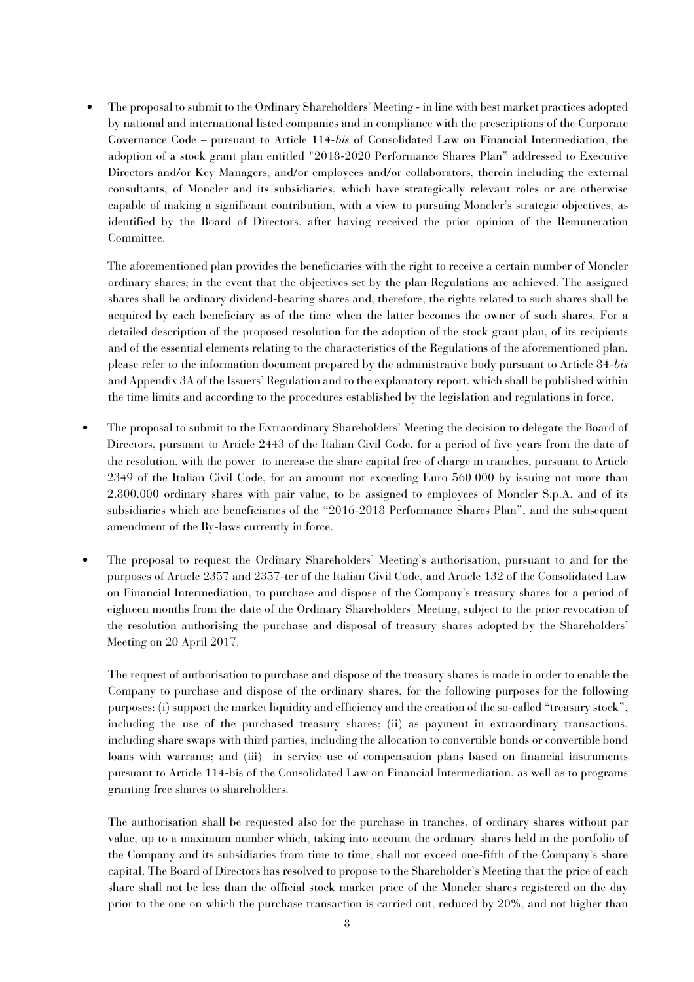• The proposal to submit to the Ordinary Shareholders' Meeting - in line with best market practices adopted by national and international listed companies and in compliance with the prescriptions of the Corporate Governance Code – pursuant to Article 114-*bis* of Consolidated Law on Financial Intermediation, the adoption of a stock grant plan entitled "2018-2020 Performance Shares Plan" addressed to Executive Directors and/or Key Managers, and/or employees and/or collaborators, therein including the external consultants, of Moncler and its subsidiaries, which have strategically relevant roles or are otherwise capable of making a significant contribution, with a view to pursuing Moncler's strategic objectives, as identified by the Board of Directors, after having received the prior opinion of the Remuneration Committee.

The aforementioned plan provides the beneficiaries with the right to receive a certain number of Moncler ordinary shares; in the event that the objectives set by the plan Regulations are achieved. The assigned shares shall be ordinary dividend-bearing shares and, therefore, the rights related to such shares shall be acquired by each beneficiary as of the time when the latter becomes the owner of such shares. For a detailed description of the proposed resolution for the adoption of the stock grant plan, of its recipients and of the essential elements relating to the characteristics of the Regulations of the aforementioned plan, please refer to the information document prepared by the administrative body pursuant to Article 84-*bis* and Appendix 3A of the Issuers' Regulation and to the explanatory report, which shall be published within the time limits and according to the procedures established by the legislation and regulations in force.

- The proposal to submit to the Extraordinary Shareholders' Meeting the decision to delegate the Board of Directors, pursuant to Article 2443 of the Italian Civil Code, for a period of five years from the date of the resolution, with the power to increase the share capital free of charge in tranches, pursuant to Article 2349 of the Italian Civil Code, for an amount not exceeding Euro 560.000 by issuing not more than 2.800.000 ordinary shares with pair value, to be assigned to employees of Moncler S.p.A. and of its subsidiaries which are beneficiaries of the "2016-2018 Performance Shares Plan", and the subsequent amendment of the By-laws currently in force.
- The proposal to request the Ordinary Shareholders' Meeting's authorisation, pursuant to and for the purposes of Article 2357 and 2357-ter of the Italian Civil Code, and Article 132 of the Consolidated Law on Financial Intermediation, to purchase and dispose of the Company's treasury shares for a period of eighteen months from the date of the Ordinary Shareholders' Meeting, subject to the prior revocation of the resolution authorising the purchase and disposal of treasury shares adopted by the Shareholders' Meeting on 20 April 2017.

The request of authorisation to purchase and dispose of the treasury shares is made in order to enable the Company to purchase and dispose of the ordinary shares, for the following purposes for the following purposes: (i) support the market liquidity and efficiency and the creation of the so-called "treasury stock", including the use of the purchased treasury shares; (ii) as payment in extraordinary transactions, including share swaps with third parties, including the allocation to convertible bonds or convertible bond loans with warrants; and (iii) in service use of compensation plans based on financial instruments pursuant to Article 114-bis of the Consolidated Law on Financial Intermediation, as well as to programs granting free shares to shareholders.

The authorisation shall be requested also for the purchase in tranches, of ordinary shares without par value, up to a maximum number which, taking into account the ordinary shares held in the portfolio of the Company and its subsidiaries from time to time, shall not exceed one-fifth of the Company's share capital. The Board of Directors has resolved to propose to the Shareholder's Meeting that the price of each share shall not be less than the official stock market price of the Moncler shares registered on the day prior to the one on which the purchase transaction is carried out, reduced by 20%, and not higher than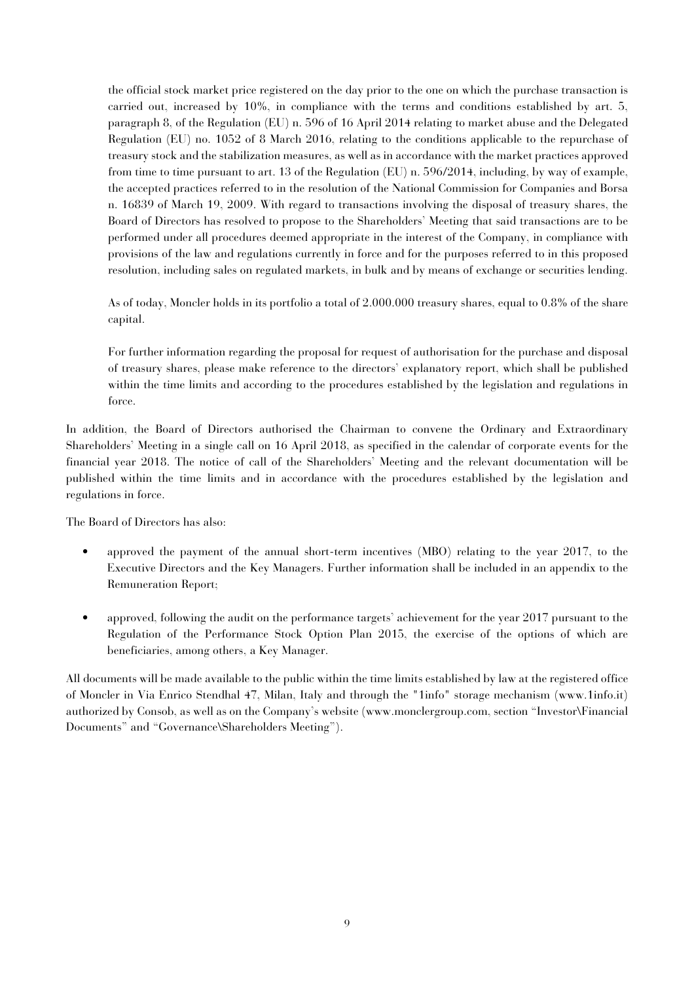the official stock market price registered on the day prior to the one on which the purchase transaction is carried out, increased by 10%, in compliance with the terms and conditions established by art. 5, paragraph 8, of the Regulation (EU) n. 596 of 16 April 2014 relating to market abuse and the Delegated Regulation (EU) no. 1052 of 8 March 2016, relating to the conditions applicable to the repurchase of treasury stock and the stabilization measures, as well as in accordance with the market practices approved from time to time pursuant to art. 13 of the Regulation (EU) n. 596/2014, including, by way of example, the accepted practices referred to in the resolution of the National Commission for Companies and Borsa n. 16839 of March 19, 2009. With regard to transactions involving the disposal of treasury shares, the Board of Directors has resolved to propose to the Shareholders' Meeting that said transactions are to be performed under all procedures deemed appropriate in the interest of the Company, in compliance with provisions of the law and regulations currently in force and for the purposes referred to in this proposed resolution, including sales on regulated markets, in bulk and by means of exchange or securities lending.

As of today, Moncler holds in its portfolio a total of 2.000.000 treasury shares, equal to 0.8% of the share capital.

For further information regarding the proposal for request of authorisation for the purchase and disposal of treasury shares, please make reference to the directors' explanatory report, which shall be published within the time limits and according to the procedures established by the legislation and regulations in force.

In addition, the Board of Directors authorised the Chairman to convene the Ordinary and Extraordinary Shareholders' Meeting in a single call on 16 April 2018, as specified in the calendar of corporate events for the financial year 2018. The notice of call of the Shareholders' Meeting and the relevant documentation will be published within the time limits and in accordance with the procedures established by the legislation and regulations in force.

The Board of Directors has also:

- approved the payment of the annual short-term incentives (MBO) relating to the year 2017, to the Executive Directors and the Key Managers. Further information shall be included in an appendix to the Remuneration Report;
- approved, following the audit on the performance targets' achievement for the year 2017 pursuant to the Regulation of the Performance Stock Option Plan 2015, the exercise of the options of which are beneficiaries, among others, a Key Manager.

All documents will be made available to the public within the time limits established by law at the registered office of Moncler in Via Enrico Stendhal 47, Milan, Italy and through the "1info" storage mechanism (www.1info.it) authorized by Consob, as well as on the Company's website (www.monclergroup.com, section "Investor\Financial Documents" and "Governance\Shareholders Meeting").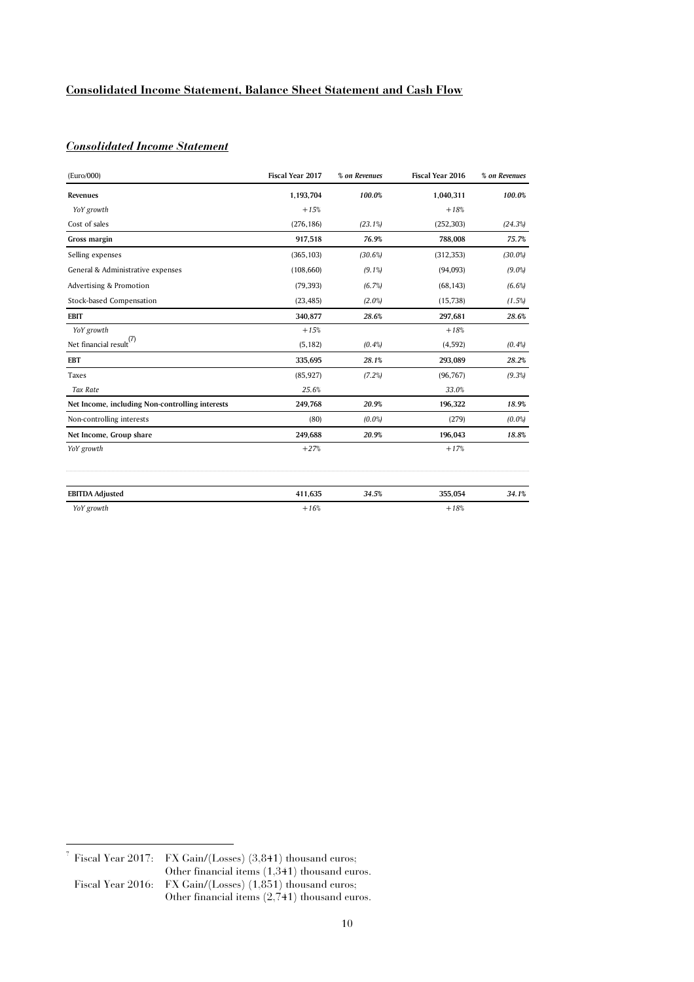## **Consolidated Income Statement, Balance Sheet Statement and Cash Flow**

## *Consolidated Income Statement*\_\_

| (Euro/000)                                      | Fiscal Year 2017 | % on Revenues | <b>Fiscal Year 2016</b> | % on Revenues |
|-------------------------------------------------|------------------|---------------|-------------------------|---------------|
| Revenues                                        | 1,193,704        | 100.0%        | 1,040,311               | 100.0%        |
| YoY growth                                      | $+15%$           |               | $+18%$                  |               |
| Cost of sales                                   | (276, 186)       | $(23.1\%)$    | (252, 303)              | (24.3%)       |
| Gross margin                                    | 917,518          | 76.9%         | 788,008                 | 75.7%         |
| Selling expenses                                | (365, 103)       | (30.6%)       | (312, 353)              | $(30.0\%)$    |
| General & Administrative expenses               | (108, 660)       | $(9.1\%)$     | (94,093)                | $(9.0\%)$     |
| Advertising & Promotion                         | (79, 393)        | (6.7%)        | (68, 143)               | $(6.6\%)$     |
| Stock-based Compensation                        | (23, 485)        | $(2.0\%)$     | (15, 738)               | $(1.5\%)$     |
| <b>EBIT</b>                                     | 340,877          | 28.6%         | 297,681                 | 28.6%         |
| YoY growth                                      | $+15%$           |               | $+18%$                  |               |
| Net financial result <sup>(7)</sup>             | (5, 182)         | (0.4%         | (4, 592)                | $(0.4\%)$     |
| <b>EBT</b>                                      | 335,695          | 28.1%         | 293,089                 | 28.2%         |
| Taxes                                           | (85, 927)        | $(7.2\%)$     | (96, 767)               | (9.3%)        |
| <b>Tax Rate</b>                                 | 25.6%            |               | 33.0%                   |               |
| Net Income, including Non-controlling interests | 249,768          | 20.9%         | 196,322                 | 18.9%         |
| Non-controlling interests                       | (80)             | $(0.0\%)$     | (279)                   | $(0.0\%)$     |
| Net Income, Group share                         | 249,688          | 20.9%         | 196,043                 | 18.8%         |
| YoY growth                                      | $+27%$           |               | $+17%$                  |               |
| <b>EBITDA Adjusted</b>                          | 411,635          | 34.5%         | 355,054                 | 34.1%         |
| YoY growth                                      | $+16%$           |               | $+18%$                  |               |

 7 Fiscal Year 2017: FX Gain/(Losses) (3,841) thousand euros; Other financial items  $(1,341)$  thousand euros.<br>Fiscal Year 2016: FX Gain/(Losses)  $(1,851)$  thousand euros; FX Gain/(Losses) (1,851) thousand euros; Other financial items (2,741) thousand euros.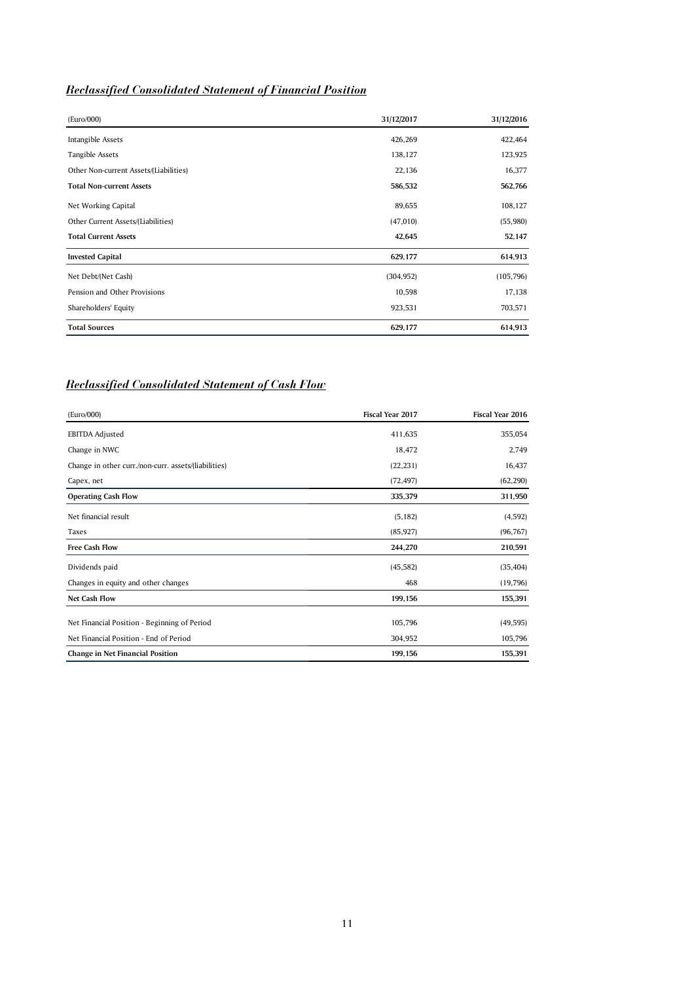# *Reclassified Consolidated Statement of Financial Position*

| (Euro/000)                             | 31/12/2017 | 31/12/2016 |
|----------------------------------------|------------|------------|
| Intangible Assets                      | 426,269    | 422,464    |
| Tangible Assets                        | 138,127    | 123,925    |
| Other Non-current Assets/(Liabilities) | 22,136     | 16,377     |
| <b>Total Non-current Assets</b>        | 586,532    | 562,766    |
| Net Working Capital                    | 89,655     | 108,127    |
| Other Current Assets/(Liabilities)     | (47,010)   | (55,980)   |
| <b>Total Current Assets</b>            | 42,645     | 52,147     |
| <b>Invested Capital</b>                | 629,177    | 614,913    |
| Net Debt/(Net Cash)                    | (304, 952) | (105, 796) |
| Pension and Other Provisions           | 10,598     | 17,138     |
| Shareholders' Equity                   | 923,531    | 703,571    |
| <b>Total Sources</b>                   | 629,177    | 614,913    |

# *Reclassified Consolidated Statement of Cash Flow*

| (Euro/000)                                                                             | Fiscal Year 2017   | Fiscal Year 2016     |
|----------------------------------------------------------------------------------------|--------------------|----------------------|
| <b>EBITDA Adjusted</b>                                                                 | 411,635            | 355,054              |
| Change in NWC                                                                          | 18,472             | 2,749                |
| Change in other curr./non-curr. assets/(liabilities)                                   | (22, 231)          | 16,437               |
| Capex, net                                                                             | (72, 497)          | (62, 290)            |
| <b>Operating Cash Flow</b>                                                             | 335,379            | 311,950              |
| Net financial result                                                                   | (5, 182)           | (4, 592)             |
| Taxes                                                                                  | (85, 927)          | (96, 767)            |
| <b>Free Cash Flow</b>                                                                  | 244,270            | 210,591              |
| Dividends paid                                                                         | (45, 582)          | (35, 404)            |
| Changes in equity and other changes                                                    | 468                | (19,796)             |
| <b>Net Cash Flow</b>                                                                   | 199,156            | 155,391              |
| Net Financial Position - Beginning of Period<br>Net Financial Position - End of Period | 105,796<br>304,952 | (49, 595)<br>105,796 |
| <b>Change in Net Financial Position</b>                                                | 199,156            | 155,391              |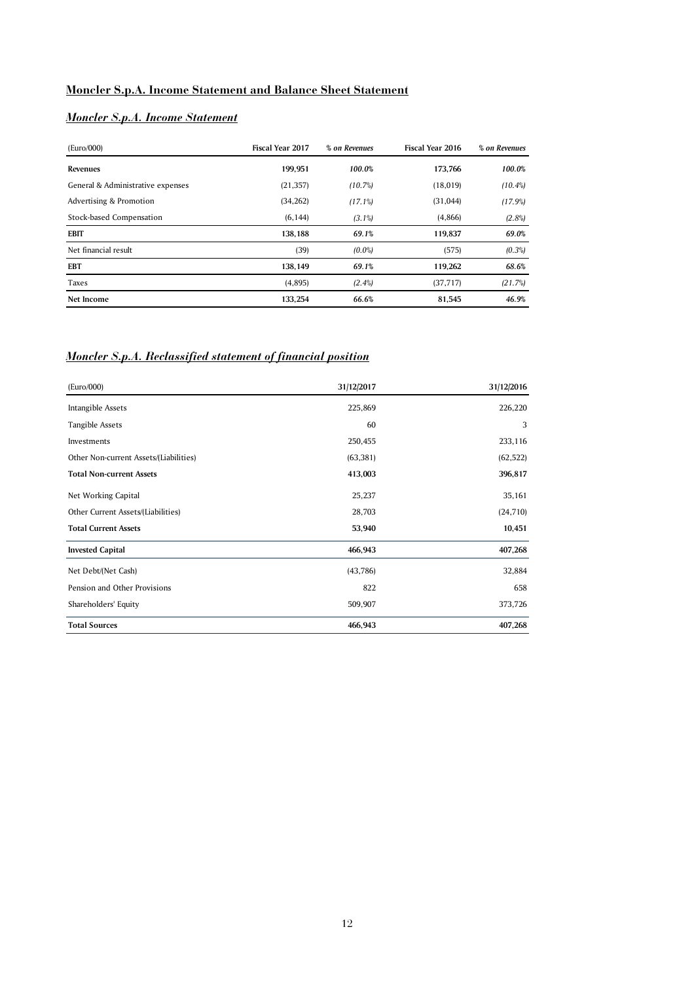# **Moncler S.p.A. Income Statement and Balance Sheet Statement**

# *Moncler S.p.A. Income Statement*

| (Euro/000)                        | <b>Fiscal Year 2017</b> | % on Revenues | <b>Fiscal Year 2016</b> | % on Revenues |
|-----------------------------------|-------------------------|---------------|-------------------------|---------------|
| Revenues                          | 199.951                 | 100.0%        | 173.766                 | 100.0%        |
| General & Administrative expenses | (21, 357)               | (10.7%)       | (18, 019)               | $(10.4\%)$    |
| Advertising & Promotion           | (34, 262)               | (17.1%)       | (31, 044)               | (17.9%)       |
| Stock-based Compensation          | (6, 144)                | $(3.1\%)$     | (4,866)                 | $(2.8\%)$     |
| <b>EBIT</b>                       | 138.188                 | 69.1%         | 119.837                 | 69.0%         |
| Net financial result              | (39)                    | $(0.0\%)$     | (575)                   | $(0.3\%)$     |
| EBT                               | 138.149                 | 69.1%         | 119.262                 | 68.6%         |
| Taxes                             | (4,895)                 | $(2.4\%)$     | (37, 717)               | (21.7%)       |
| Net Income                        | 133.254                 | 66.6%         | 81,545                  | 46.9%         |

# *Moncler S.p.A. Reclassified statement of financial position*

| (Euro/000)                             | 31/12/2017 | 31/12/2016 |
|----------------------------------------|------------|------------|
| Intangible Assets                      | 225,869    | 226,220    |
| Tangible Assets                        | 60         | 3          |
| Investments                            | 250,455    | 233,116    |
| Other Non-current Assets/(Liabilities) | (63, 381)  | (62, 522)  |
| <b>Total Non-current Assets</b>        | 413,003    | 396,817    |
| Net Working Capital                    | 25,237     | 35,161     |
| Other Current Assets/(Liabilities)     | 28,703     | (24, 710)  |
| <b>Total Current Assets</b>            | 53,940     | 10,451     |
| <b>Invested Capital</b>                | 466,943    | 407,268    |
| Net Debt/(Net Cash)                    | (43,786)   | 32,884     |
| Pension and Other Provisions           | 822        | 658        |
| Shareholders' Equity                   | 509,907    | 373,726    |
| <b>Total Sources</b>                   | 466,943    | 407,268    |